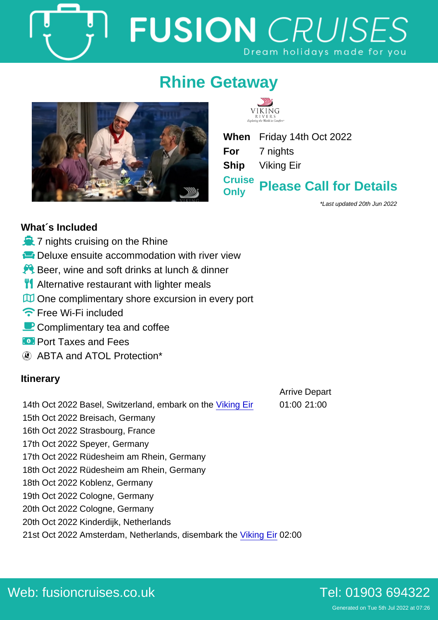# Rhine Getaway

When Friday 14th Oct 2022 For 7 nights Ship Viking Eir **Cruise** Only Please Call for Details

\*Last updated 20th Jun 2022

## What´s Included

- ò 7 nights cruising on the Rhine
- ô¸ Deluxe ensuite accommodation with river view
- $\div \hat{Y}$  Beer, wine and soft drinks at lunch & dinner
- òç Alternative restaurant with lighter meals
- òy One complimentary shore excursion in every port
- ñë Free Wi-Fi included
- ðô Complimentary tea and coffee
- óÑ Port Taxes and Fees
	- ABTA and ATOL Protection\*

## Itinerary

- 14th Oct 2022 Basel, Switzerland, embark on the [Viking Eir](https://fusioncruises.co.uk/river/viking/eir/) 01:00 21:00
	-
- Arrive Depart

16th Oct 2022 Strasbourg, France 17th Oct 2022 Speyer, Germany

15th Oct 2022 Breisach, Germany

- 17th Oct 2022 Rüdesheim am Rhein, Germany
- 18th Oct 2022 Rüdesheim am Rhein, Germany
- 18th Oct 2022 Koblenz, Germany
- 19th Oct 2022 Cologne, Germany
- 20th Oct 2022 Cologne, Germany
- 20th Oct 2022 Kinderdijk, Netherlands
- 21st Oct 2022 Amsterdam, Netherlands, disembark the [Viking Eir](https://fusioncruises.co.uk/river/viking/eir/) 02:00